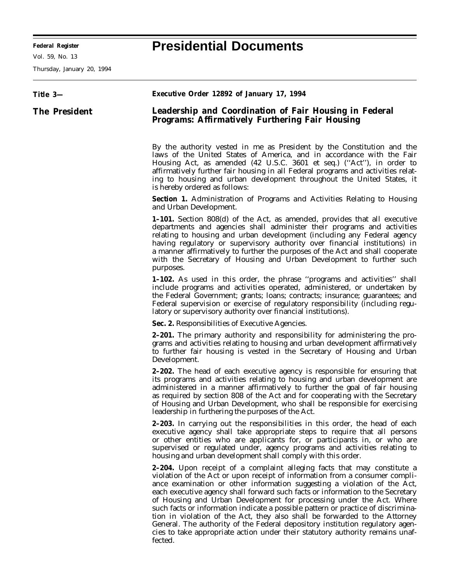**Federal Register Presidential Documents**

Ξ

Vol. 59, No. 13

Thursday, January 20, 1994

| Title 3-             | Executive Order 12892 of January 17, 1994                                                                                                                                                                                                                                                                                                                                                                                                                                                                                                                                                                                                                                                                                                   |
|----------------------|---------------------------------------------------------------------------------------------------------------------------------------------------------------------------------------------------------------------------------------------------------------------------------------------------------------------------------------------------------------------------------------------------------------------------------------------------------------------------------------------------------------------------------------------------------------------------------------------------------------------------------------------------------------------------------------------------------------------------------------------|
| <b>The President</b> | Leadership and Coordination of Fair Housing in Federal<br><b>Programs: Affirmatively Furthering Fair Housing</b>                                                                                                                                                                                                                                                                                                                                                                                                                                                                                                                                                                                                                            |
|                      | By the authority vested in me as President by the Constitution and the<br>laws of the United States of America, and in accordance with the Fair<br>Housing Act, as amended (42 U.S.C. 3601 et seq.) ("Act"), in order to<br>affirmatively further fair housing in all Federal programs and activities relat-<br>ing to housing and urban development throughout the United States, it<br>is hereby ordered as follows:                                                                                                                                                                                                                                                                                                                      |
|                      | <b>Section 1.</b> Administration of Programs and Activities Relating to Housing<br>and Urban Development.                                                                                                                                                                                                                                                                                                                                                                                                                                                                                                                                                                                                                                   |
|                      | <b>1-101.</b> Section 808(d) of the Act, as amended, provides that all executive<br>departments and agencies shall administer their programs and activities<br>relating to housing and urban development (including any Federal agency<br>having regulatory or supervisory authority over financial institutions) in<br>a manner affirmatively to further the purposes of the Act and shall cooperate<br>with the Secretary of Housing and Urban Development to further such<br>purposes.                                                                                                                                                                                                                                                   |
|                      | <b>1-102.</b> As used in this order, the phrase "programs and activities" shall<br>include programs and activities operated, administered, or undertaken by<br>the Federal Government; grants; loans; contracts; insurance; guarantees; and<br>Federal supervision or exercise of regulatory responsibility (including regu-<br>latory or supervisory authority over financial institutions).                                                                                                                                                                                                                                                                                                                                               |
|                      | Sec. 2. Responsibilities of Executive Agencies.                                                                                                                                                                                                                                                                                                                                                                                                                                                                                                                                                                                                                                                                                             |
|                      | <b>2-201.</b> The primary authority and responsibility for administering the pro-<br>grams and activities relating to housing and urban development affirmatively<br>to further fair housing is vested in the Secretary of Housing and Urban<br>Development.                                                                                                                                                                                                                                                                                                                                                                                                                                                                                |
|                      | 2-202. The head of each executive agency is responsible for ensuring that<br>its programs and activities relating to housing and urban development are<br>administered in a manner affirmatively to further the goal of fair housing<br>as required by section 808 of the Act and for cooperating with the Secretary<br>of Housing and Urban Development, who shall be responsible for exercising<br>leadership in furthering the purposes of the Act.                                                                                                                                                                                                                                                                                      |
|                      | <b>2-203.</b> In carrying out the responsibilities in this order, the head of each<br>executive agency shall take appropriate steps to require that all persons<br>or other entities who are applicants for, or participants in, or who are<br>supervised or regulated under, agency programs and activities relating to<br>housing and urban development shall comply with this order.                                                                                                                                                                                                                                                                                                                                                     |
|                      | 2-204. Upon receipt of a complaint alleging facts that may constitute a<br>violation of the Act or upon receipt of information from a consumer compli-<br>ance examination or other information suggesting a violation of the Act,<br>each executive agency shall forward such facts or information to the Secretary<br>of Housing and Urban Development for processing under the Act. Where<br>such facts or information indicate a possible pattern or practice of discrimina-<br>tion in violation of the Act, they also shall be forwarded to the Attorney<br>General. The authority of the Federal depository institution regulatory agen-<br>cies to take appropriate action under their statutory authority remains unaf-<br>fected. |

۰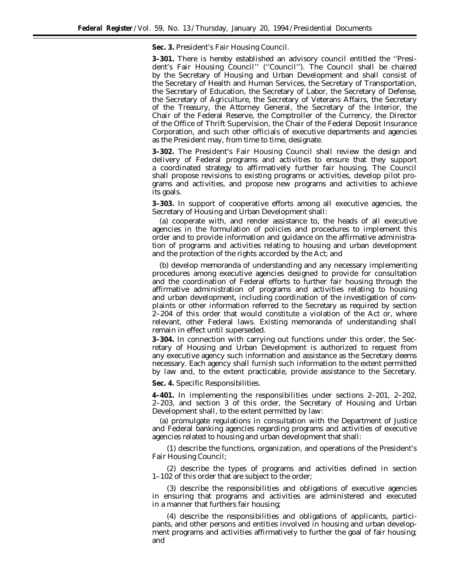**Sec. 3.** *President's Fair Housing Council.*

**3–301.** There is hereby established an advisory council entitled the ''President's Fair Housing Council'' (''Council''). The Council shall be chaired by the Secretary of Housing and Urban Development and shall consist of the Secretary of Health and Human Services, the Secretary of Transportation, the Secretary of Education, the Secretary of Labor, the Secretary of Defense, the Secretary of Agriculture, the Secretary of Veterans Affairs, the Secretary of the Treasury, the Attorney General, the Secretary of the Interior, the Chair of the Federal Reserve, the Comptroller of the Currency, the Director of the Office of Thrift Supervision, the Chair of the Federal Deposit Insurance Corporation, and such other officials of executive departments and agencies as the President may, from time to time, designate.

**3–302.** The President's Fair Housing Council shall review the design and delivery of Federal programs and activities to ensure that they support a coordinated strategy to affirmatively further fair housing. The Council shall propose revisions to existing programs or activities, develop pilot programs and activities, and propose new programs and activities to achieve its goals.

**3–303.** In support of cooperative efforts among all executive agencies, the Secretary of Housing and Urban Development shall:

(a) cooperate with, and render assistance to, the heads of all executive agencies in the formulation of policies and procedures to implement this order and to provide information and guidance on the affirmative administration of programs and activities relating to housing and urban development and the protection of the rights accorded by the Act; and

(b) develop memoranda of understanding and any necessary implementing procedures among executive agencies designed to provide for consultation and the coordination of Federal efforts to further fair housing through the affirmative administration of programs and activities relating to housing and urban development, including coordination of the investigation of complaints or other information referred to the Secretary as required by section 2–204 of this order that would constitute a violation of the Act or, where relevant, other Federal laws. Existing memoranda of understanding shall remain in effect until superseded.

**3–304.** In connection with carrying out functions under this order, the Secretary of Housing and Urban Development is authorized to request from any executive agency such information and assistance as the Secretary deems necessary. Each agency shall furnish such information to the extent permitted by law and, to the extent practicable, provide assistance to the Secretary.

**Sec. 4.** *Specific Responsibilities.*

**4–401.** In implementing the responsibilities under sections 2–201, 2–202, 2–203, and section 3 of this order, the Secretary of Housing and Urban Development shall, to the extent permitted by law:

(a) promulgate regulations in consultation with the Department of Justice and Federal banking agencies regarding programs and activities of executive agencies related to housing and urban development that shall:

(1) describe the functions, organization, and operations of the President's Fair Housing Council;

(2) describe the types of programs and activities defined in section 1–102 of this order that are subject to the order;

(3) describe the responsibilities and obligations of executive agencies in ensuring that programs and activities are administered and executed in a manner that furthers fair housing;

(4) describe the responsibilities and obligations of applicants, participants, and other persons and entities involved in housing and urban development programs and activities affirmatively to further the goal of fair housing; and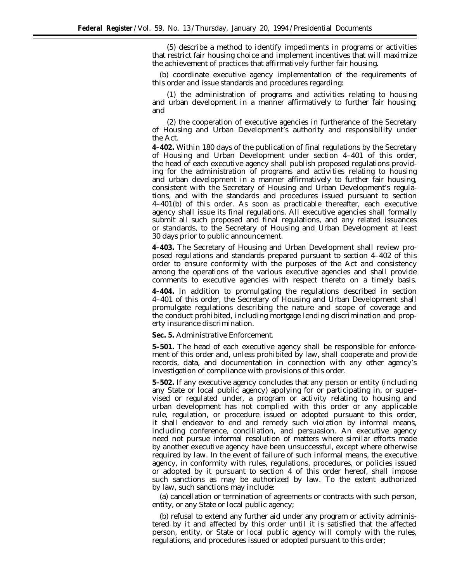(5) describe a method to identify impediments in programs or activities that restrict fair housing choice and implement incentives that will maximize the achievement of practices that affirmatively further fair housing.

(b) coordinate executive agency implementation of the requirements of this order and issue standards and procedures regarding:

(1) the administration of programs and activities relating to housing and urban development in a manner affirmatively to further fair housing; and

(2) the cooperation of executive agencies in furtherance of the Secretary of Housing and Urban Development's authority and responsibility under the Act.

**4–402.** Within 180 days of the publication of final regulations by the Secretary of Housing and Urban Development under section 4–401 of this order, the head of each executive agency shall publish proposed regulations providing for the administration of programs and activities relating to housing and urban development in a manner affirmatively to further fair housing, consistent with the Secretary of Housing and Urban Development's regulations, and with the standards and procedures issued pursuant to section 4–401(b) of this order. As soon as practicable thereafter, each executive agency shall issue its final regulations. All executive agencies shall formally submit all such proposed and final regulations, and any related issuances or standards, to the Secretary of Housing and Urban Development at least 30 days prior to public announcement.

**4–403.** The Secretary of Housing and Urban Development shall review proposed regulations and standards prepared pursuant to section 4–402 of this order to ensure conformity with the purposes of the Act and consistency among the operations of the various executive agencies and shall provide comments to executive agencies with respect thereto on a timely basis.

**4–404.** In addition to promulgating the regulations described in section 4–401 of this order, the Secretary of Housing and Urban Development shall promulgate regulations describing the nature and scope of coverage and the conduct prohibited, including mortgage lending discrimination and property insurance discrimination.

**Sec. 5.** *Administrative Enforcement.*

**5–501.** The head of each executive agency shall be responsible for enforcement of this order and, unless prohibited by law, shall cooperate and provide records, data, and documentation in connection with any other agency's investigation of compliance with provisions of this order.

**5–502.** If any executive agency concludes that any person or entity (including any State or local public agency) applying for or participating in, or supervised or regulated under, a program or activity relating to housing and urban development has not complied with this order or any applicable rule, regulation, or procedure issued or adopted pursuant to this order, it shall endeavor to end and remedy such violation by informal means, including conference, conciliation, and persuasion. An executive agency need not pursue informal resolution of matters where similar efforts made by another executive agency have been unsuccessful, except where otherwise required by law. In the event of failure of such informal means, the executive agency, in conformity with rules, regulations, procedures, or policies issued or adopted by it pursuant to section 4 of this order hereof, shall impose such sanctions as may be authorized by law. To the extent authorized by law, such sanctions may include:

(a) cancellation or termination of agreements or contracts with such person, entity, or any State or local public agency;

(b) refusal to extend any further aid under any program or activity administered by it and affected by this order until it is satisfied that the affected person, entity, or State or local public agency will comply with the rules, regulations, and procedures issued or adopted pursuant to this order;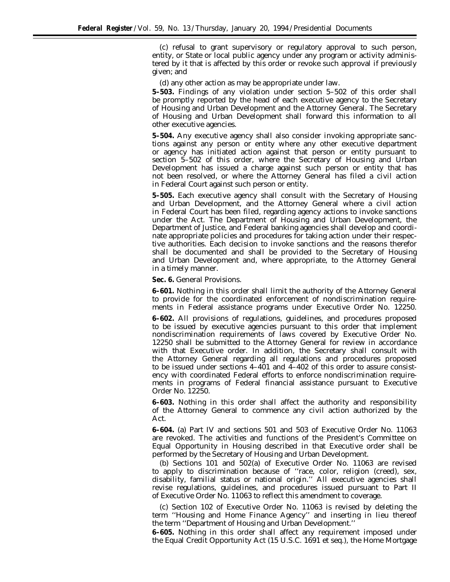(c) refusal to grant supervisory or regulatory approval to such person, entity, or State or local public agency under any program or activity administered by it that is affected by this order or revoke such approval if previously given; and

(d) any other action as may be appropriate under law.

**5–503.** Findings of any violation under section 5–502 of this order shall be promptly reported by the head of each executive agency to the Secretary of Housing and Urban Development and the Attorney General. The Secretary of Housing and Urban Development shall forward this information to all other executive agencies.

**5–504.** Any executive agency shall also consider invoking appropriate sanctions against any person or entity where any other executive department or agency has initiated action against that person or entity pursuant to section 5–502 of this order, where the Secretary of Housing and Urban Development has issued a charge against such person or entity that has not been resolved, or where the Attorney General has filed a civil action in Federal Court against such person or entity.

**5–505.** Each executive agency shall consult with the Secretary of Housing and Urban Development, and the Attorney General where a civil action in Federal Court has been filed, regarding agency actions to invoke sanctions under the Act. The Department of Housing and Urban Development, the Department of Justice, and Federal banking agencies shall develop and coordinate appropriate policies and procedures for taking action under their respective authorities. Each decision to invoke sanctions and the reasons therefor shall be documented and shall be provided to the Secretary of Housing and Urban Development and, where appropriate, to the Attorney General in a timely manner.

## **Sec. 6.** *General Provisions.*

**6–601.** Nothing in this order shall limit the authority of the Attorney General to provide for the coordinated enforcement of nondiscrimination requirements in Federal assistance programs under Executive Order No. 12250.

**6–602.** All provisions of regulations, guidelines, and procedures proposed to be issued by executive agencies pursuant to this order that implement nondiscrimination requirements of laws covered by Executive Order No. 12250 shall be submitted to the Attorney General for review in accordance with that Executive order. In addition, the Secretary shall consult with the Attorney General regarding all regulations and procedures proposed to be issued under sections 4–401 and 4–402 of this order to assure consistency with coordinated Federal efforts to enforce nondiscrimination requirements in programs of Federal financial assistance pursuant to Executive Order No. 12250.

**6–603.** Nothing in this order shall affect the authority and responsibility of the Attorney General to commence any civil action authorized by the Act.

**6–604.** (a) Part IV and sections 501 and 503 of Executive Order No. 11063 are revoked. The activities and functions of the President's Committee on Equal Opportunity in Housing described in that Executive order shall be performed by the Secretary of Housing and Urban Development.

(b) Sections 101 and 502(a) of Executive Order No. 11063 are revised to apply to discrimination because of ''race, color, religion (creed), sex, disability, familial status or national origin.'' All executive agencies shall revise regulations, guidelines, and procedures issued pursuant to Part II of Executive Order No. 11063 to reflect this amendment to coverage.

(c) Section 102 of Executive Order No. 11063 is revised by deleting the term ''Housing and Home Finance Agency'' and inserting in lieu thereof the term ''Department of Housing and Urban Development.''

**6–605.** Nothing in this order shall affect any requirement imposed under the Equal Credit Opportunity Act (15 U.S.C. 1691 *et seq.*), the Home Mortgage